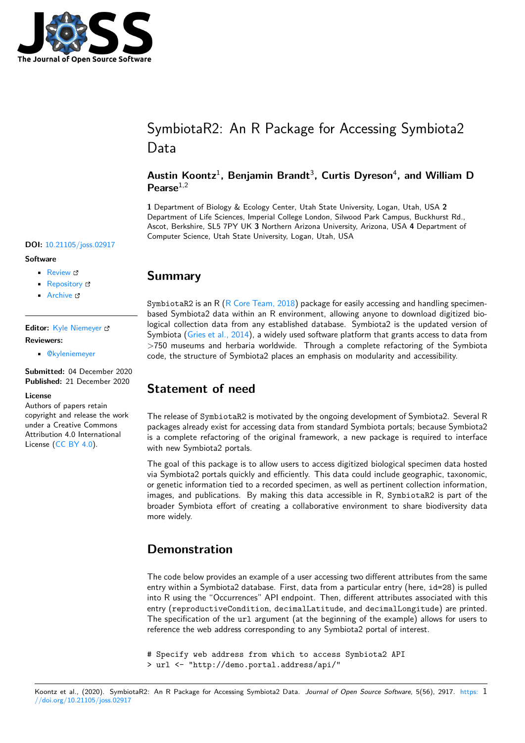

# SymbiotaR2: An R Package for Accessing Symbiota2 Data

### Austin Koontz<sup>1</sup>, Benjamin Brandt<sup>3</sup>, Curtis Dyreson<sup>4</sup>, and William D Pearse<sup>1,2</sup>

**1** Department of Biology & Ecology Center, Utah State University, Logan, Utah, USA **2** Department of Life Sciences, Imperial College London, Silwood Park Campus, Buckhurst Rd., Ascot, Berkshire, SL5 7PY UK **3** Northern Arizona University, Arizona, USA **4** Department of Computer Science, Utah State University, Logan, Utah, USA

#### **DOI:** 10.21105/joss.02917

#### **Software**

- Review C
- [Repository](https://doi.org/10.21105/joss.02917) &
- Archive

#### **Editor:** [Kyle Niem](https://github.com/ropensci/SymbiotaR2)eyer **Revie[wers:](https://doi.org/10.5281/zenodo.4302571)**

• @kyleniemeyer

**Submitted:** [04 Decem](http://kyleniemeyer.com)ber 2020 **Published:** 21 December 2020

#### **Licen[se](https://github.com/kyleniemeyer)**

Authors of papers retain copyright and release the work under a Creative Commons Attribution 4.0 International License (CC BY 4.0).

## **Summary**

SymbiotaR2 is an R ( $R$  Core Team, 2018) package for easily accessing and handling specimenbased Symbiota2 data within an R environment, allowing anyone to download digitized biological collection data from any established database. Symbiota2 is the updated version of Symbiota (Gries et al., 2014), a widely used software platform that grants access to data from >750 museums and [herbaria worldwide.](#page-1-0) Through a complete refactoring of the Symbiota code, the structure of Symbiota2 places an emphasis on modularity and accessibility.

# **State[ment of need](#page-1-1)**

The release of SymbiotaR2 is motivated by the ongoing development of Symbiota2. Several R packages already exist for accessing data from standard Symbiota portals; because Symbiota2 is a complete refactoring of the original framework, a new package is required to interface with new Symbiota2 portals.

The goal of this package is to allow users to access digitized biological specimen data hosted via Symbiota2 portals quickly and efficiently. This data could include geographic, taxonomic, or genetic information tied to a recorded specimen, as well as pertinent collection information, images, and publications. By making this data accessible in R, SymbiotaR2 is part of the broader Symbiota effort of creating a collaborative environment to share biodiversity data more widely.

### **Demonstration**

The code below provides an example of a user accessing two different attributes from the same entry within a Symbiota2 database. First, data from a particular entry (here, id=28) is pulled into R using the "Occurrences" API endpoint. Then, different attributes associated with this entry (reproductiveCondition, decimalLatitude, and decimalLongitude) are printed. The specification of the url argument (at the beginning of the example) allows for users to reference the web address corresponding to any Symbiota2 portal of interest.

# Specify web address from which to access Symbiota2 API

> url <- "http://demo.portal.address/api/"